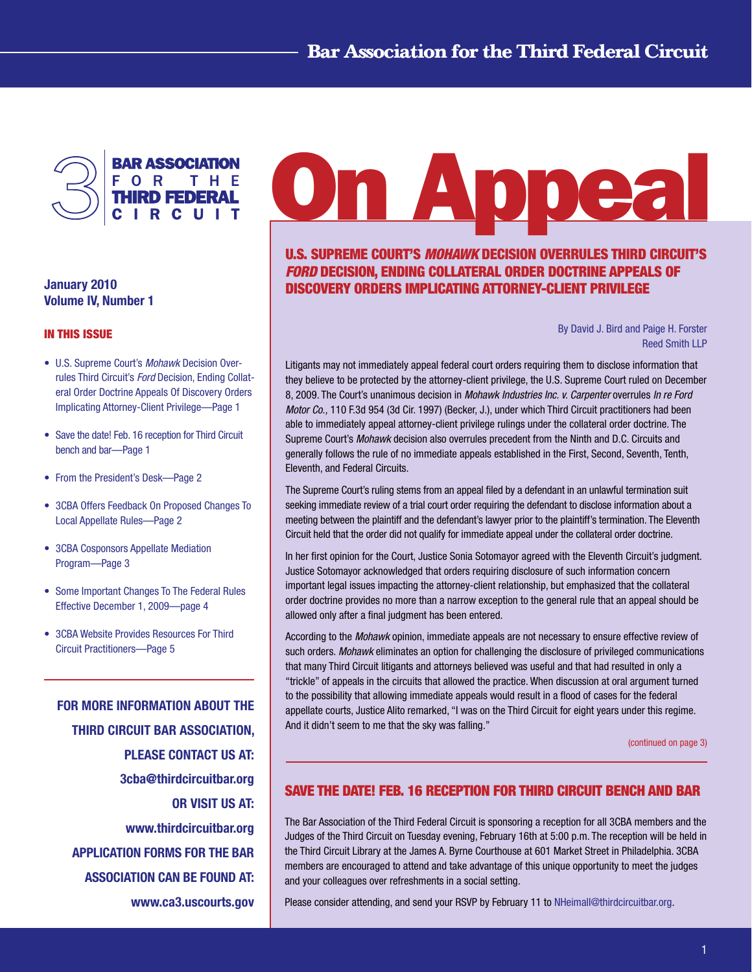<span id="page-0-0"></span>

January 2010 Volume IV, Number 1

#### In This Issue

- U.S. Supreme Court's *Mohawk* Decision Overrules Third Circuit's *Ford* Decision, Ending Collateral Order Doctrine Appeals Of Discovery Orders Implicating Attorney-Client Privilege—Page 1
- Save the date! Feb. 16 reception for Third Circuit bench and bar—Page 1
- From the President's Desk—Page 2
- 3CBA Offers Feedback On Proposed Changes To Local Appellate Rules—Page 2
- 3CBA Cosponsors Appellate Mediation Program—Page 3
- Some Important Changes To The Federal Rules Effective December 1, 2009—page 4
- 3CBA Website Provides Resources For Third Circuit Practitioners—Page 5

FOR MORE INFORMATION ABOUT THE THIRD CIRCUIT BAR ASSOCIATION, PLEASE CONTACT US AT: 3cba@thirdcircuitbar.org OR VISIT US AT: www.thirdcircuitbar.org APPLICATION FORMS FOR THE BAR ASSOCIATION CAN BE FOUND AT: www.ca3.uscourts.gov

# **On Appea**

U.S. Supreme Court's *Mohawk* Decision Overrules Third Circuit's *Ford* Decision, Ending Collateral Order Doctrine Appeals Of Discovery Orders Implicating Attorney-Client Privilege

> By David J. Bird and Paige H. Forster Reed Smith LLP

Litigants may not immediately appeal federal court orders requiring them to disclose information that they believe to be protected by the attorney-client privilege, the U.S. Supreme Court ruled on December 8, 2009. The Court's unanimous decision in *Mohawk Industries Inc. v. Carpenter* overrules *In re Ford Motor Co.,* 110 F.3d 954 (3d Cir. 1997) (Becker, J.), under which Third Circuit practitioners had been able to immediately appeal attorney-client privilege rulings under the collateral order doctrine. The Supreme Court's *Mohawk* decision also overrules precedent from the Ninth and D.C. Circuits and generally follows the rule of no immediate appeals established in the First, Second, Seventh, Tenth, Eleventh, and Federal Circuits.

The Supreme Court's ruling stems from an appeal filed by a defendant in an unlawful termination suit seeking immediate review of a trial court order requiring the defendant to disclose information about a meeting between the plaintiff and the defendant's lawyer prior to the plaintiff's termination. The Eleventh Circuit held that the order did not qualify for immediate appeal under the collateral order doctrine.

In her first opinion for the Court, Justice Sonia Sotomayor agreed with the Eleventh Circuit's judgment. Justice Sotomayor acknowledged that orders requiring disclosure of such information concern important legal issues impacting the attorney-client relationship, but emphasized that the collateral order doctrine provides no more than a narrow exception to the general rule that an appeal should be allowed only after a final judgment has been entered.

According to the *Mohawk* opinion, immediate appeals are not necessary to ensure effective review of such orders. *Mohawk* eliminates an option for challenging the disclosure of privileged communications that many Third Circuit litigants and attorneys believed was useful and that had resulted in only a "trickle" of appeals in the circuits that allowed the practice. When discussion at oral argument turned to the possibility that allowing immediate appeals would result in a flood of cases for the federal appellate courts, Justice Alito remarked, "I was on the Third Circuit for eight years under this regime. And it didn't seem to me that the sky was falling."

[\(continued on page 3\)](#page-2-0)

# Save the date! Feb. 16 reception for Third Circuit bench and bar

The Bar Association of the Third Federal Circuit is sponsoring a reception for all 3CBA members and the Judges of the Third Circuit on Tuesday evening, February 16th at 5:00 p.m. The reception will be held in the Third Circuit Library at the James A. Byrne Courthouse at 601 Market Street in Philadelphia. 3CBA members are encouraged to attend and take advantage of this unique opportunity to meet the judges and your colleagues over refreshments in a social setting.

Please consider attending, and send your RSVP by February 11 to [NHeimall@thirdcircuitbar.org](mailto:NHeimall@thirdcircuitbar.org).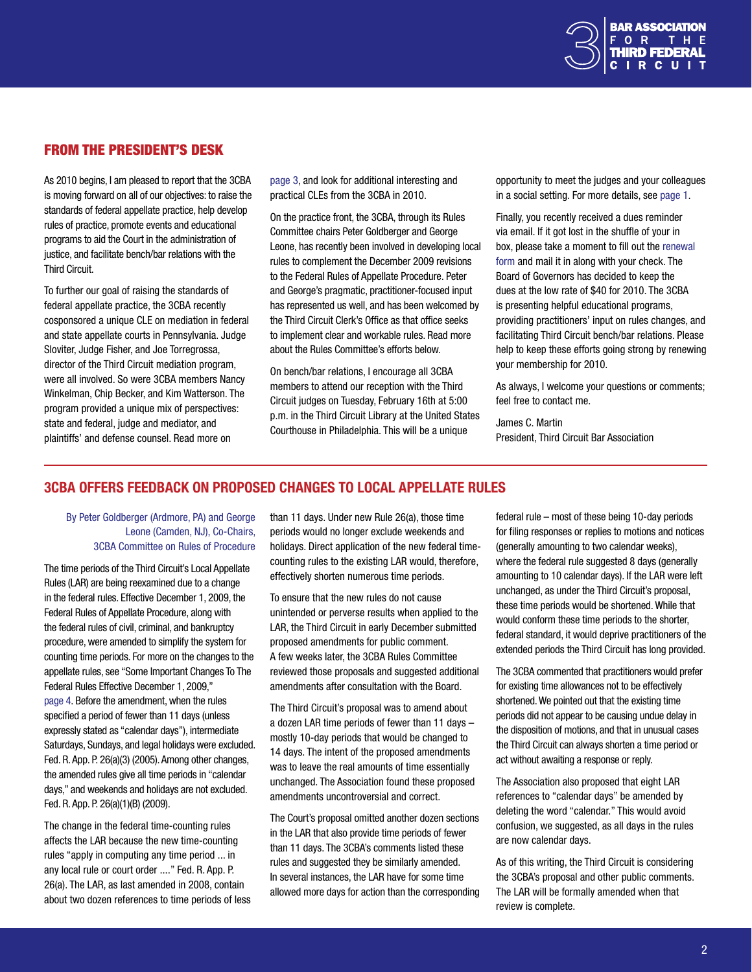

## From the President's Desk

As 2010 begins, I am pleased to report that the 3CBA is moving forward on all of our objectives: to raise the standards of federal appellate practice, help develop rules of practice, promote events and educational programs to aid the Court in the administration of justice, and facilitate bench/bar relations with the Third Circuit.

To further our goal of raising the standards of federal appellate practice, the 3CBA recently cosponsored a unique CLE on mediation in federal and state appellate courts in Pennsylvania. Judge Sloviter, Judge Fisher, and Joe Torregrossa, director of the Third Circuit mediation program, were all involved. So were 3CBA members Nancy Winkelman, Chip Becker, and Kim Watterson. The program provided a unique mix of perspectives: state and federal, judge and mediator, and plaintiffs' and defense counsel. Read more on

[page](#page-2-0) 3, and look for additional interesting and practical CLEs from the 3CBA in 2010.

On the practice front, the 3CBA, through its Rules Committee chairs Peter Goldberger and George Leone, has recently been involved in developing local rules to complement the December 2009 revisions to the Federal Rules of Appellate Procedure. Peter and George's pragmatic, practitioner-focused input has represented us well, and has been welcomed by the Third Circuit Clerk's Office as that office seeks to implement clear and workable rules. Read more about the Rules Committee's efforts below.

On bench/bar relations, I encourage all 3CBA members to attend our reception with the Third Circuit judges on Tuesday, February 16th at 5:00 p.m. in the Third Circuit Library at the United States Courthouse in Philadelphia. This will be a unique

opportunity to meet the judges and your colleagues in a social setting. For more details, see [page 1](#page-0-0).

Finally, you recently received a dues reminder via email. If it got lost in the shuffle of your in box, please take a moment to fill out the [renewal](http://www.thirdcircuitbar.org/membership_form.html)  [form](http://www.thirdcircuitbar.org/membership_form.html) and mail it in along with your check. The Board of Governors has decided to keep the dues at the low rate of \$40 for 2010. The 3CBA is presenting helpful educational programs, providing practitioners' input on rules changes, and facilitating Third Circuit bench/bar relations. Please help to keep these efforts going strong by renewing your membership for 2010.

As always, I welcome your questions or comments; feel free to contact me.

James C. Martin President, Third Circuit Bar Association

# 3CBA Offers Feedback on proposed changes to local appellate rules

#### By Peter Goldberger (Ardmore, PA) and George Leone (Camden, NJ), Co-Chairs, 3CBA Committee on Rules of Procedure

The time periods of the Third Circuit's Local Appellate Rules (LAR) are being reexamined due to a change in the federal rules. Effective December 1, 2009, the Federal Rules of Appellate Procedure, along with the federal rules of civil, criminal, and bankruptcy procedure, were amended to simplify the system for counting time periods. For more on the changes to the appellate rules, see "Some Important Changes To The Federal Rules Effective December 1, 2009," [page 4.](#page-3-0) Before the amendment, when the rules specified a period of fewer than 11 days (unless expressly stated as "calendar days"), intermediate Saturdays, Sundays, and legal holidays were excluded. Fed. R. App. P. 26(a)(3) (2005). Among other changes, the amended rules give all time periods in "calendar days," and weekends and holidays are not excluded. Fed. R. App. P. 26(a)(1)(B) (2009).

The change in the federal time-counting rules affects the LAR because the new time-counting rules "apply in computing any time period ... in any local rule or court order ...." Fed. R. App. P. 26(a). The LAR, as last amended in 2008, contain about two dozen references to time periods of less than 11 days. Under new Rule 26(a), those time periods would no longer exclude weekends and holidays. Direct application of the new federal timecounting rules to the existing LAR would, therefore, effectively shorten numerous time periods.

To ensure that the new rules do not cause unintended or perverse results when applied to the LAR, the Third Circuit in early December submitted proposed amendments for public comment. A few weeks later, the 3CBA Rules Committee reviewed those proposals and suggested additional amendments after consultation with the Board.

The Third Circuit's proposal was to amend about a dozen LAR time periods of fewer than 11 days – mostly 10-day periods that would be changed to 14 days. The intent of the proposed amendments was to leave the real amounts of time essentially unchanged. The Association found these proposed amendments uncontroversial and correct.

The Court's proposal omitted another dozen sections in the LAR that also provide time periods of fewer than 11 days. The 3CBA's comments listed these rules and suggested they be similarly amended. In several instances, the LAR have for some time allowed more days for action than the corresponding federal rule – most of these being 10-day periods for filing responses or replies to motions and notices (generally amounting to two calendar weeks), where the federal rule suggested 8 days (generally amounting to 10 calendar days). If the LAR were left unchanged, as under the Third Circuit's proposal, these time periods would be shortened. While that would conform these time periods to the shorter, federal standard, it would deprive practitioners of the extended periods the Third Circuit has long provided.

The 3CBA commented that practitioners would prefer for existing time allowances not to be effectively shortened. We pointed out that the existing time periods did not appear to be causing undue delay in the disposition of motions, and that in unusual cases the Third Circuit can always shorten a time period or act without awaiting a response or reply.

The Association also proposed that eight LAR references to "calendar days" be amended by deleting the word "calendar." This would avoid confusion, we suggested, as all days in the rules are now calendar days.

As of this writing, the Third Circuit is considering the 3CBA's proposal and other public comments. The LAR will be formally amended when that review is complete.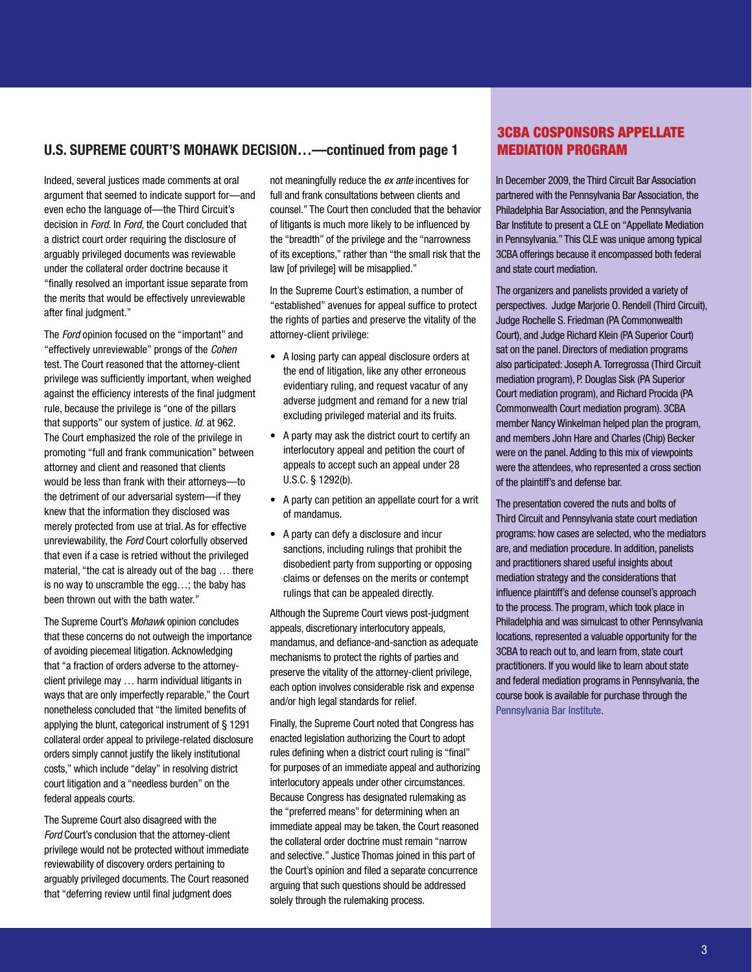## <span id="page-2-0"></span>U.S. Supreme Court's Mohawk Decision…—continued from page 1

Indeed, several justices made comments at oral argument that seemed to indicate support for—and even echo the language of—the Third Circuit's decision in *Ford*. In *Ford*, the Court concluded that a district court order requiring the disclosure of arguably privileged documents was reviewable under the collateral order doctrine because it "finally resolved an important issue separate from the merits that would be effectively unreviewable after final judgment."

The *Ford* opinion focused on the "important" and "effectively unreviewable" prongs of the *Cohen* test. The Court reasoned that the attorney-client privilege was sufficiently important, when weighed against the efficiency interests of the final judgment rule, because the privilege is "one of the pillars that supports" our system of justice. *Id*. at 962. The Court emphasized the role of the privilege in promoting "full and frank communication" between attorney and client and reasoned that clients would be less than frank with their attorneys—to the detriment of our adversarial system—if they knew that the information they disclosed was merely protected from use at trial. As for effective unreviewability, the *Ford* Court colorfully observed that even if a case is retried without the privileged material, "the cat is already out of the bag … there is no way to unscramble the egg…; the baby has been thrown out with the bath water."

The Supreme Court's *Mohawk* opinion concludes that these concerns do not outweigh the importance of avoiding piecemeal litigation. Acknowledging that "a fraction of orders adverse to the attorneyclient privilege may … harm individual litigants in ways that are only imperfectly reparable," the Court nonetheless concluded that "the limited benefits of applying the blunt, categorical instrument of § 1291 collateral order appeal to privilege-related disclosure orders simply cannot justify the likely institutional costs," which include "delay" in resolving district court litigation and a "needless burden" on the federal appeals courts.

The Supreme Court also disagreed with the *Ford* Court's conclusion that the attorney-client privilege would not be protected without immediate reviewability of discovery orders pertaining to arguably privileged documents. The Court reasoned that "deferring review until final judgment does

not meaningfully reduce the *ex ante* incentives for full and frank consultations between clients and counsel." The Court then concluded that the behavior of litigants is much more likely to be influenced by the "breadth" of the privilege and the "narrowness of its exceptions," rather than "the small risk that the law [of privilege] will be misapplied."

In the Supreme Court's estimation, a number of "established" avenues for appeal suffice to protect the rights of parties and preserve the vitality of the attorney-client privilege:

- A losing party can appeal disclosure orders at the end of litigation, like any other erroneous evidentiary ruling, and request vacatur of any adverse judgment and remand for a new trial excluding privileged material and its fruits.
- A party may ask the district court to certify an interlocutory appeal and petition the court of appeals to accept such an appeal under 28 U.S.C. § 1292(b).
- A party can petition an appellate court for a writ of mandamus.
- A party can defy a disclosure and incur sanctions, including rulings that prohibit the disobedient party from supporting or opposing claims or defenses on the merits or contempt rulings that can be appealed directly.

Although the Supreme Court views post-judgment appeals, discretionary interlocutory appeals, mandamus, and defiance-and-sanction as adequate mechanisms to protect the rights of parties and preserve the vitality of the attorney-client privilege, each option involves considerable risk and expense and/or high legal standards for relief.

Finally, the Supreme Court noted that Congress has enacted legislation authorizing the Court to adopt rules defining when a district court ruling is "final" for purposes of an immediate appeal and authorizing interlocutory appeals under other circumstances. Because Congress has designated rulemaking as the "preferred means" for determining when an immediate appeal may be taken, the Court reasoned the collateral order doctrine must remain "narrow and selective." Justice Thomas joined in this part of the Court's opinion and filed a separate concurrence arguing that such questions should be addressed solely through the rulemaking process.

# 3CBA Cosponsors Appellate Mediation Program

In December 2009, the Third Circuit Bar Association partnered with the Pennsylvania Bar Association, the Philadelphia Bar Association, and the Pennsylvania Bar Institute to present a CLE on "Appellate Mediation in Pennsylvania." This CLE was unique among typical 3CBA offerings because it encompassed both federal and state court mediation.

The organizers and panelists provided a variety of perspectives. Judge Marjorie O. Rendell (Third Circuit), Judge Rochelle S. Friedman (PA Commonwealth Court), and Judge Richard Klein (PA Superior Court) sat on the panel. Directors of mediation programs also participated: Joseph A. Torregrossa (Third Circuit mediation program), P. Douglas Sisk (PA Superior Court mediation program), and Richard Procida (PA Commonwealth Court mediation program). 3CBA member Nancy Winkelman helped plan the program, and members John Hare and Charles (Chip) Becker were on the panel. Adding to this mix of viewpoints were the attendees, who represented a cross section of the plaintiff's and defense bar.

The presentation covered the nuts and bolts of Third Circuit and Pennsylvania state court mediation programs: how cases are selected, who the mediators are, and mediation procedure. In addition, panelists and practitioners shared useful insights about mediation strategy and the considerations that influence plaintiff's and defense counsel's approach to the process. The program, which took place in Philadelphia and was simulcast to other Pennsylvania locations, represented a valuable opportunity for the 3CBA to reach out to, and learn from, state court practitioners. If you would like to learn about state and federal mediation programs in Pennsylvania, the course book is available for purchase through the [Pennsylvania Bar Institute](http://www.pbi.org/).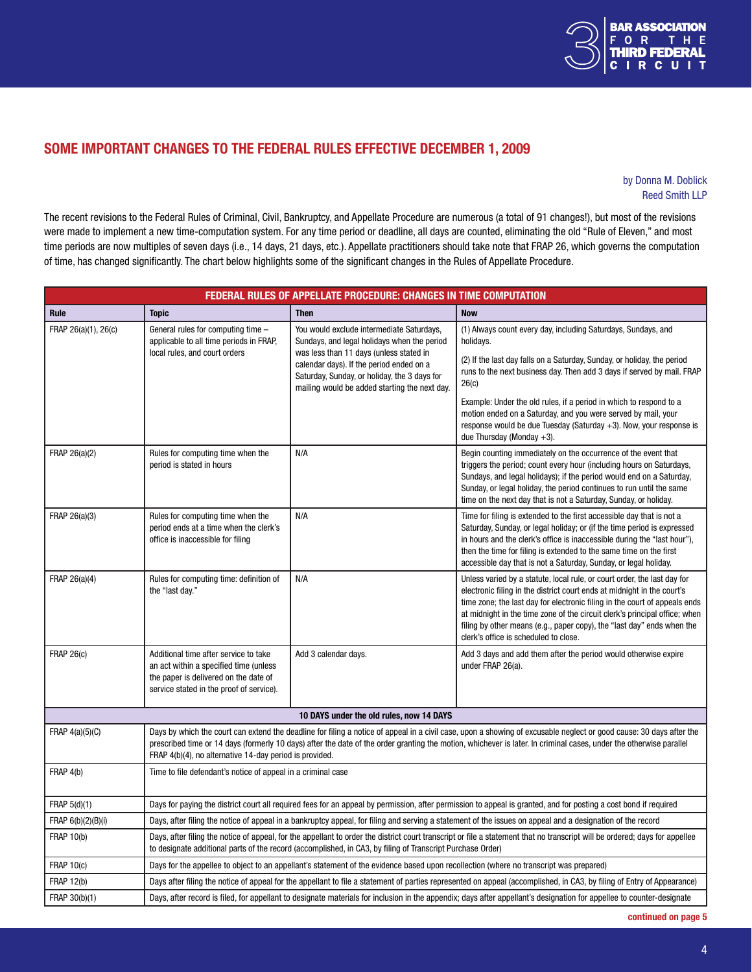

# <span id="page-3-0"></span>Some Important Changes To The Federal Rules Effective December 1, 2009

#### by Donna M. Doblick Reed Smith LLP

The recent revisions to the Federal Rules of Criminal, Civil, Bankruptcy, and Appellate Procedure are numerous (a total of 91 changes!), but most of the revisions were made to implement a new time-computation system. For any time period or deadline, all days are counted, eliminating the old "Rule of Eleven," and most time periods are now multiples of seven days (i.e., 14 days, 21 days, etc.). Appellate practitioners should take note that FRAP 26, which governs the computation of time, has changed significantly. The chart below highlights some of the significant changes in the Rules of Appellate Procedure.

| <b>FEDERAL RULES OF APPELLATE PROCEDURE: CHANGES IN TIME COMPUTATION</b> |                                                                                                                                                                                                                                                                                                                                                                                                      |                                                                                                                                           |                                                                                                                                                                                                                                                                                                                                                                                                                                    |  |
|--------------------------------------------------------------------------|------------------------------------------------------------------------------------------------------------------------------------------------------------------------------------------------------------------------------------------------------------------------------------------------------------------------------------------------------------------------------------------------------|-------------------------------------------------------------------------------------------------------------------------------------------|------------------------------------------------------------------------------------------------------------------------------------------------------------------------------------------------------------------------------------------------------------------------------------------------------------------------------------------------------------------------------------------------------------------------------------|--|
| Rule                                                                     | <b>Topic</b>                                                                                                                                                                                                                                                                                                                                                                                         | <b>Then</b>                                                                                                                               | <b>Now</b>                                                                                                                                                                                                                                                                                                                                                                                                                         |  |
| FRAP 26(a)(1), 26(c)                                                     | General rules for computing time -<br>applicable to all time periods in FRAP,<br>local rules, and court orders                                                                                                                                                                                                                                                                                       | You would exclude intermediate Saturdays,<br>Sundays, and legal holidays when the period<br>was less than 11 days (unless stated in       | (1) Always count every day, including Saturdays, Sundays, and<br>holidays.                                                                                                                                                                                                                                                                                                                                                         |  |
|                                                                          |                                                                                                                                                                                                                                                                                                                                                                                                      | calendar days). If the period ended on a<br>Saturday, Sunday, or holiday, the 3 days for<br>mailing would be added starting the next day. | (2) If the last day falls on a Saturday, Sunday, or holiday, the period<br>runs to the next business day. Then add 3 days if served by mail. FRAP<br>26(c)                                                                                                                                                                                                                                                                         |  |
|                                                                          |                                                                                                                                                                                                                                                                                                                                                                                                      |                                                                                                                                           | Example: Under the old rules, if a period in which to respond to a<br>motion ended on a Saturday, and you were served by mail, your<br>response would be due Tuesday (Saturday $+3$ ). Now, your response is<br>due Thursday (Monday $+3$ ).                                                                                                                                                                                       |  |
| FRAP 26(a)(2)                                                            | Rules for computing time when the<br>period is stated in hours                                                                                                                                                                                                                                                                                                                                       | N/A                                                                                                                                       | Begin counting immediately on the occurrence of the event that<br>triggers the period; count every hour (including hours on Saturdays,<br>Sundays, and legal holidays); if the period would end on a Saturday,<br>Sunday, or legal holiday, the period continues to run until the same<br>time on the next day that is not a Saturday, Sunday, or holiday.                                                                         |  |
| FRAP 26(a)(3)                                                            | Rules for computing time when the<br>period ends at a time when the clerk's<br>office is inaccessible for filing                                                                                                                                                                                                                                                                                     | N/A                                                                                                                                       | Time for filing is extended to the first accessible day that is not a<br>Saturday, Sunday, or legal holiday; or (if the time period is expressed<br>in hours and the clerk's office is inaccessible during the "last hour"),<br>then the time for filing is extended to the same time on the first<br>accessible day that is not a Saturday, Sunday, or legal holiday.                                                             |  |
| FRAP 26(a)(4)                                                            | Rules for computing time: definition of<br>the "last day."                                                                                                                                                                                                                                                                                                                                           | N/A                                                                                                                                       | Unless varied by a statute, local rule, or court order, the last day for<br>electronic filing in the district court ends at midnight in the court's<br>time zone; the last day for electronic filing in the court of appeals ends<br>at midnight in the time zone of the circuit clerk's principal office; when<br>filing by other means (e.g., paper copy), the "last day" ends when the<br>clerk's office is scheduled to close. |  |
| <b>FRAP 26(c)</b>                                                        | Additional time after service to take<br>an act within a specified time (unless<br>the paper is delivered on the date of<br>service stated in the proof of service).                                                                                                                                                                                                                                 | Add 3 calendar days.                                                                                                                      | Add 3 days and add them after the period would otherwise expire<br>under FRAP 26(a).                                                                                                                                                                                                                                                                                                                                               |  |
| 10 DAYS under the old rules, now 14 DAYS                                 |                                                                                                                                                                                                                                                                                                                                                                                                      |                                                                                                                                           |                                                                                                                                                                                                                                                                                                                                                                                                                                    |  |
| FRAP $4(a)(5)(C)$                                                        | Days by which the court can extend the deadline for filing a notice of appeal in a civil case, upon a showing of excusable neglect or good cause: 30 days after the<br>prescribed time or 14 days (formerly 10 days) after the date of the order granting the motion, whichever is later. In criminal cases, under the otherwise parallel<br>FRAP 4(b)(4), no alternative 14-day period is provided. |                                                                                                                                           |                                                                                                                                                                                                                                                                                                                                                                                                                                    |  |
| FRAP 4(b)                                                                | Time to file defendant's notice of appeal in a criminal case                                                                                                                                                                                                                                                                                                                                         |                                                                                                                                           |                                                                                                                                                                                                                                                                                                                                                                                                                                    |  |
| FRAP 5(d)(1)                                                             | Days for paying the district court all required fees for an appeal by permission, after permission to appeal is granted, and for posting a cost bond if required                                                                                                                                                                                                                                     |                                                                                                                                           |                                                                                                                                                                                                                                                                                                                                                                                                                                    |  |
| FRAP 6(b)(2)(B)(i)                                                       | Days, after filing the notice of appeal in a bankruptcy appeal, for filing and serving a statement of the issues on appeal and a designation of the record                                                                                                                                                                                                                                           |                                                                                                                                           |                                                                                                                                                                                                                                                                                                                                                                                                                                    |  |
| <b>FRAP 10(b)</b>                                                        | Days, after filing the notice of appeal, for the appellant to order the district court transcript or file a statement that no transcript will be ordered; days for appellee<br>to designate additional parts of the record (accomplished, in CA3, by filing of Transcript Purchase Order)                                                                                                            |                                                                                                                                           |                                                                                                                                                                                                                                                                                                                                                                                                                                    |  |
| <b>FRAP 10(c)</b>                                                        | Days for the appellee to object to an appellant's statement of the evidence based upon recollection (where no transcript was prepared)                                                                                                                                                                                                                                                               |                                                                                                                                           |                                                                                                                                                                                                                                                                                                                                                                                                                                    |  |
| <b>FRAP 12(b)</b>                                                        | Days after filing the notice of appeal for the appellant to file a statement of parties represented on appeal (accomplished, in CA3, by filing of Entry of Appearance)                                                                                                                                                                                                                               |                                                                                                                                           |                                                                                                                                                                                                                                                                                                                                                                                                                                    |  |
| FRAP 30(b)(1)                                                            | Days, after record is filed, for appellant to designate materials for inclusion in the appendix; days after appellant's designation for appellee to counter-designate                                                                                                                                                                                                                                |                                                                                                                                           |                                                                                                                                                                                                                                                                                                                                                                                                                                    |  |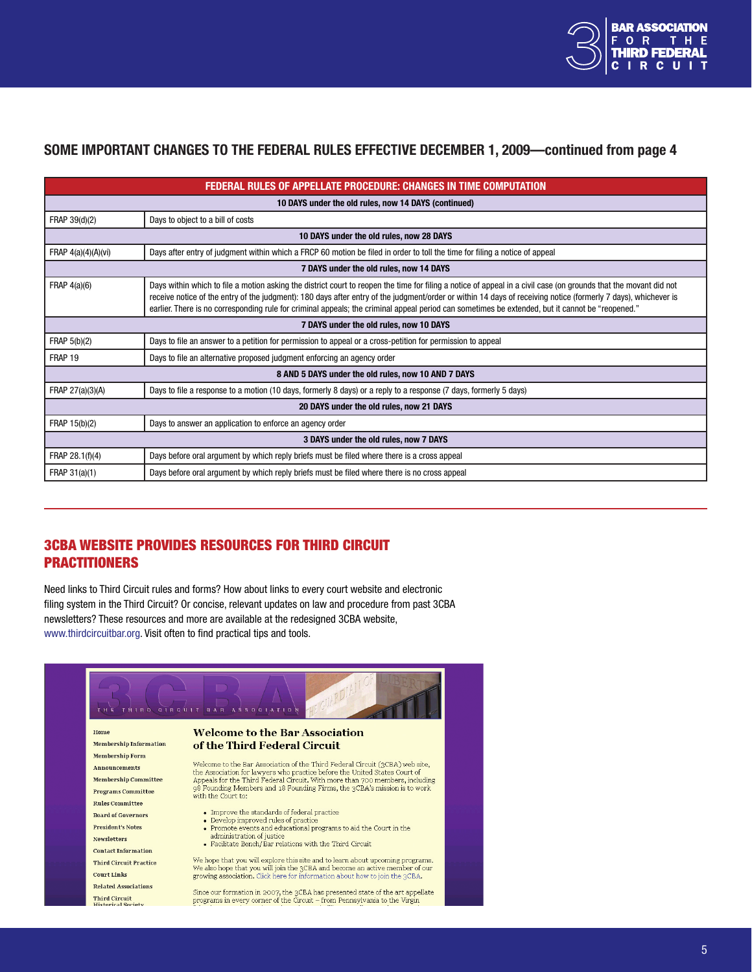

## <span id="page-4-0"></span>Some Important Changes To The Federal Rules Effective December 1, 2009—continued from page 4

| <b>FEDERAL RULES OF APPELLATE PROCEDURE: CHANGES IN TIME COMPUTATION</b> |                                                                                                                                                                                                                                                                                                                                                                                                                                                                                         |  |  |
|--------------------------------------------------------------------------|-----------------------------------------------------------------------------------------------------------------------------------------------------------------------------------------------------------------------------------------------------------------------------------------------------------------------------------------------------------------------------------------------------------------------------------------------------------------------------------------|--|--|
| 10 DAYS under the old rules, now 14 DAYS (continued)                     |                                                                                                                                                                                                                                                                                                                                                                                                                                                                                         |  |  |
| FRAP 39(d)(2)                                                            | Days to object to a bill of costs                                                                                                                                                                                                                                                                                                                                                                                                                                                       |  |  |
| 10 DAYS under the old rules, now 28 DAYS                                 |                                                                                                                                                                                                                                                                                                                                                                                                                                                                                         |  |  |
| FRAP $4(a)(4)(A)(vi)$                                                    | Days after entry of judgment within which a FRCP 60 motion be filed in order to toll the time for filing a notice of appeal                                                                                                                                                                                                                                                                                                                                                             |  |  |
| 7 DAYS under the old rules, now 14 DAYS                                  |                                                                                                                                                                                                                                                                                                                                                                                                                                                                                         |  |  |
| FRAP $4(a)(6)$                                                           | Days within which to file a motion asking the district court to reopen the time for filing a notice of appeal in a civil case (on grounds that the movant did not<br>receive notice of the entry of the judgment): 180 days after entry of the judgment/order or within 14 days of receiving notice (formerly 7 days), whichever is<br>earlier. There is no corresponding rule for criminal appeals; the criminal appeal period can sometimes be extended, but it cannot be "reopened." |  |  |
| 7 DAYS under the old rules, now 10 DAYS                                  |                                                                                                                                                                                                                                                                                                                                                                                                                                                                                         |  |  |
| FRAP 5(b)(2)                                                             | Days to file an answer to a petition for permission to appeal or a cross-petition for permission to appeal                                                                                                                                                                                                                                                                                                                                                                              |  |  |
| FRAP 19                                                                  | Days to file an alternative proposed judgment enforcing an agency order                                                                                                                                                                                                                                                                                                                                                                                                                 |  |  |
| 8 AND 5 DAYS under the old rules, now 10 AND 7 DAYS                      |                                                                                                                                                                                                                                                                                                                                                                                                                                                                                         |  |  |
| FRAP 27(a)(3)(A)                                                         | Days to file a response to a motion (10 days, formerly 8 days) or a reply to a response (7 days, formerly 5 days)                                                                                                                                                                                                                                                                                                                                                                       |  |  |
| 20 DAYS under the old rules, now 21 DAYS                                 |                                                                                                                                                                                                                                                                                                                                                                                                                                                                                         |  |  |
| FRAP 15(b)(2)                                                            | Days to answer an application to enforce an agency order                                                                                                                                                                                                                                                                                                                                                                                                                                |  |  |
| 3 DAYS under the old rules, now 7 DAYS                                   |                                                                                                                                                                                                                                                                                                                                                                                                                                                                                         |  |  |
| FRAP 28.1(f)(4)                                                          | Days before oral argument by which reply briefs must be filed where there is a cross appeal                                                                                                                                                                                                                                                                                                                                                                                             |  |  |
| FRAP 31(a)(1)                                                            | Days before oral argument by which reply briefs must be filed where there is no cross appeal                                                                                                                                                                                                                                                                                                                                                                                            |  |  |

# 3CBA website provides resources for Third Circuit **PRACTITIONERS**

Need links to Third Circuit rules and forms? How about links to every court website and electronic filing system in the Third Circuit? Or concise, relevant updates on law and procedure from past 3CBA newsletters? These resources and more are available at the redesigned 3CBA website, <www.thirdcircuitbar.org>. Visit often to find practical tips and tools.